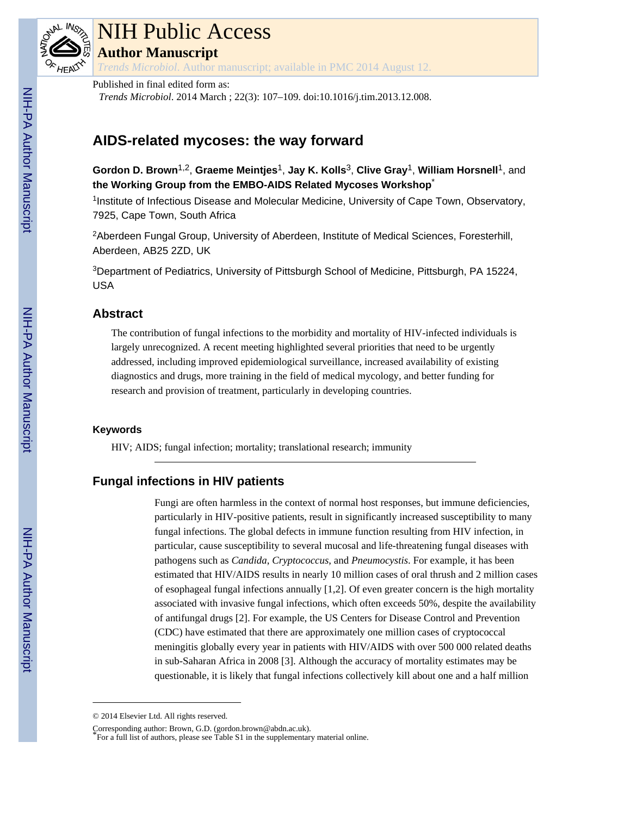

# NIH Public Access **Author Manuscript**

*Trends Microbiol*. Author manuscript; available in PMC 2014 August 12.

Published in final edited form as:

*Trends Microbiol*. 2014 March ; 22(3): 107–109. doi:10.1016/j.tim.2013.12.008.

# **AIDS-related mycoses: the way forward**

**Gordon D. Brown**1,2, **Graeme Meintjes**1, **Jay K. Kolls**3, **Clive Gray**1, **William Horsnell**1, and **the Working Group from the EMBO-AIDS Related Mycoses Workshop**\*

<sup>1</sup>Institute of Infectious Disease and Molecular Medicine, University of Cape Town, Observatory, 7925, Cape Town, South Africa

<sup>2</sup>Aberdeen Fungal Group, University of Aberdeen, Institute of Medical Sciences, Foresterhill, Aberdeen, AB25 2ZD, UK

<sup>3</sup>Department of Pediatrics, University of Pittsburgh School of Medicine, Pittsburgh, PA 15224, USA

## **Abstract**

The contribution of fungal infections to the morbidity and mortality of HIV-infected individuals is largely unrecognized. A recent meeting highlighted several priorities that need to be urgently addressed, including improved epidemiological surveillance, increased availability of existing diagnostics and drugs, more training in the field of medical mycology, and better funding for research and provision of treatment, particularly in developing countries.

#### **Keywords**

HIV; AIDS; fungal infection; mortality; translational research; immunity

# **Fungal infections in HIV patients**

Fungi are often harmless in the context of normal host responses, but immune deficiencies, particularly in HIV-positive patients, result in significantly increased susceptibility to many fungal infections. The global defects in immune function resulting from HIV infection, in particular, cause susceptibility to several mucosal and life-threatening fungal diseases with pathogens such as *Candida*, *Cryptococcus*, and *Pneumocystis*. For example, it has been estimated that HIV/AIDS results in nearly 10 million cases of oral thrush and 2 million cases of esophageal fungal infections annually [1,2]. Of even greater concern is the high mortality associated with invasive fungal infections, which often exceeds 50%, despite the availability of antifungal drugs [2]. For example, the US Centers for Disease Control and Prevention (CDC) have estimated that there are approximately one million cases of cryptococcal meningitis globally every year in patients with HIV/AIDS with over 500 000 related deaths in sub-Saharan Africa in 2008 [3]. Although the accuracy of mortality estimates may be questionable, it is likely that fungal infections collectively kill about one and a half million

<sup>© 2014</sup> Elsevier Ltd. All rights reserved.

Corresponding author: Brown, G.D. (gordon.brown@abdn.ac.uk).

<sup>\*</sup>For a full list of authors, please see Table S1 in the supplementary material online.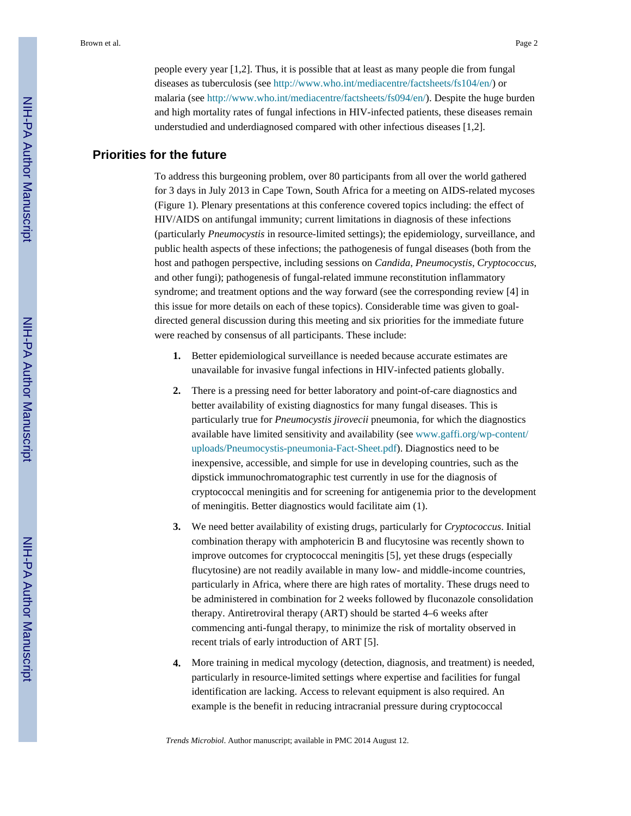people every year [1,2]. Thus, it is possible that at least as many people die from fungal diseases as tuberculosis (see [http://www.who.int/mediacentre/factsheets/fs104/en/\)](http://www.who.int/mediacentre/factsheets/fs104/en/) or malaria (see<http://www.who.int/mediacentre/factsheets/fs094/en/>). Despite the huge burden and high mortality rates of fungal infections in HIV-infected patients, these diseases remain understudied and underdiagnosed compared with other infectious diseases [1,2].

# **Priorities for the future**

To address this burgeoning problem, over 80 participants from all over the world gathered for 3 days in July 2013 in Cape Town, South Africa for a meeting on AIDS-related mycoses (Figure 1). Plenary presentations at this conference covered topics including: the effect of HIV/AIDS on antifungal immunity; current limitations in diagnosis of these infections (particularly *Pneumocystis* in resource-limited settings); the epidemiology, surveillance, and public health aspects of these infections; the pathogenesis of fungal diseases (both from the host and pathogen perspective, including sessions on *Candida*, *Pneumocystis*, *Cryptococcus*, and other fungi); pathogenesis of fungal-related immune reconstitution inflammatory syndrome; and treatment options and the way forward (see the corresponding review [4] in this issue for more details on each of these topics). Considerable time was given to goaldirected general discussion during this meeting and six priorities for the immediate future were reached by consensus of all participants. These include:

- **1.** Better epidemiological surveillance is needed because accurate estimates are unavailable for invasive fungal infections in HIV-infected patients globally.
- **2.** There is a pressing need for better laboratory and point-of-care diagnostics and better availability of existing diagnostics for many fungal diseases. This is particularly true for *Pneumocystis jirovecii* pneumonia, for which the diagnostics available have limited sensitivity and availability (see www.gaffi.org/wp-content/ uploads/Pneumocystis-pneumonia-Fact-Sheet.pdf). Diagnostics need to be inexpensive, accessible, and simple for use in developing countries, such as the dipstick immunochromatographic test currently in use for the diagnosis of cryptococcal meningitis and for screening for antigenemia prior to the development of meningitis. Better diagnostics would facilitate aim (1).
- **3.** We need better availability of existing drugs, particularly for *Cryptococcus*. Initial combination therapy with amphotericin B and flucytosine was recently shown to improve outcomes for cryptococcal meningitis [5], yet these drugs (especially flucytosine) are not readily available in many low- and middle-income countries, particularly in Africa, where there are high rates of mortality. These drugs need to be administered in combination for 2 weeks followed by fluconazole consolidation therapy. Antiretroviral therapy (ART) should be started 4–6 weeks after commencing anti-fungal therapy, to minimize the risk of mortality observed in recent trials of early introduction of ART [5].
- **4.** More training in medical mycology (detection, diagnosis, and treatment) is needed, particularly in resource-limited settings where expertise and facilities for fungal identification are lacking. Access to relevant equipment is also required. An example is the benefit in reducing intracranial pressure during cryptococcal

*Trends Microbiol*. Author manuscript; available in PMC 2014 August 12.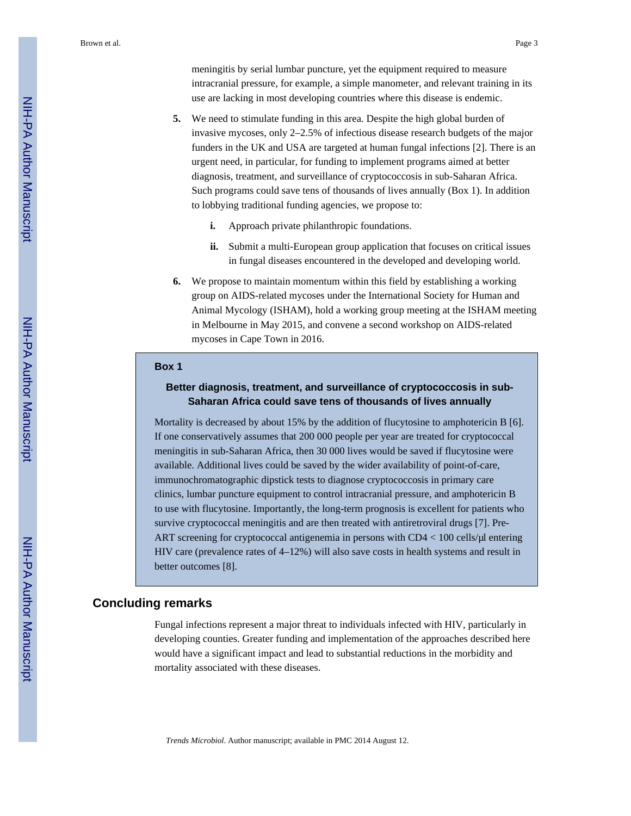meningitis by serial lumbar puncture, yet the equipment required to measure intracranial pressure, for example, a simple manometer, and relevant training in its use are lacking in most developing countries where this disease is endemic.

- **5.** We need to stimulate funding in this area. Despite the high global burden of invasive mycoses, only 2–2.5% of infectious disease research budgets of the major funders in the UK and USA are targeted at human fungal infections [2]. There is an urgent need, in particular, for funding to implement programs aimed at better diagnosis, treatment, and surveillance of cryptococcosis in sub-Saharan Africa. Such programs could save tens of thousands of lives annually (Box 1). In addition to lobbying traditional funding agencies, we propose to:
	- **i.** Approach private philanthropic foundations.
	- **ii.** Submit a multi-European group application that focuses on critical issues in fungal diseases encountered in the developed and developing world.
- **6.** We propose to maintain momentum within this field by establishing a working group on AIDS-related mycoses under the International Society for Human and Animal Mycology (ISHAM), hold a working group meeting at the ISHAM meeting in Melbourne in May 2015, and convene a second workshop on AIDS-related mycoses in Cape Town in 2016.

#### **Box 1**

### **Better diagnosis, treatment, and surveillance of cryptococcosis in sub-Saharan Africa could save tens of thousands of lives annually**

Mortality is decreased by about 15% by the addition of flucytosine to amphotericin B [6]. If one conservatively assumes that 200 000 people per year are treated for cryptococcal meningitis in sub-Saharan Africa, then 30 000 lives would be saved if flucytosine were available. Additional lives could be saved by the wider availability of point-of-care, immunochromatographic dipstick tests to diagnose cryptococcosis in primary care clinics, lumbar puncture equipment to control intracranial pressure, and amphotericin B to use with flucytosine. Importantly, the long-term prognosis is excellent for patients who survive cryptococcal meningitis and are then treated with antiretroviral drugs [7]. Pre-ART screening for cryptococcal antigenemia in persons with CD4 < 100 cells/μl entering HIV care (prevalence rates of 4–12%) will also save costs in health systems and result in better outcomes [8].

#### **Concluding remarks**

Fungal infections represent a major threat to individuals infected with HIV, particularly in developing counties. Greater funding and implementation of the approaches described here would have a significant impact and lead to substantial reductions in the morbidity and mortality associated with these diseases.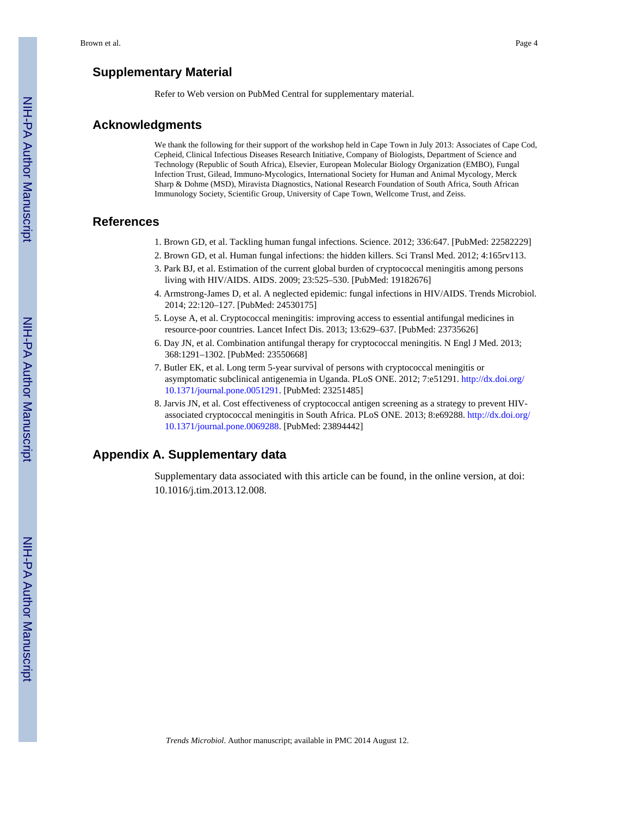Refer to Web version on PubMed Central for supplementary material.

### **Acknowledgments**

We thank the following for their support of the workshop held in Cape Town in July 2013: Associates of Cape Cod, Cepheid, Clinical Infectious Diseases Research Initiative, Company of Biologists, Department of Science and Technology (Republic of South Africa), Elsevier, European Molecular Biology Organization (EMBO), Fungal Infection Trust, Gilead, Immuno-Mycologics, International Society for Human and Animal Mycology, Merck Sharp & Dohme (MSD), Miravista Diagnostics, National Research Foundation of South Africa, South African Immunology Society, Scientific Group, University of Cape Town, Wellcome Trust, and Zeiss.

#### **References**

- 1. Brown GD, et al. Tackling human fungal infections. Science. 2012; 336:647. [PubMed: 22582229]
- 2. Brown GD, et al. Human fungal infections: the hidden killers. Sci Transl Med. 2012; 4:165rv113.
- 3. Park BJ, et al. Estimation of the current global burden of cryptococcal meningitis among persons living with HIV/AIDS. AIDS. 2009; 23:525–530. [PubMed: 19182676]
- 4. Armstrong-James D, et al. A neglected epidemic: fungal infections in HIV/AIDS. Trends Microbiol. 2014; 22:120–127. [PubMed: 24530175]
- 5. Loyse A, et al. Cryptococcal meningitis: improving access to essential antifungal medicines in resource-poor countries. Lancet Infect Dis. 2013; 13:629–637. [PubMed: 23735626]
- 6. Day JN, et al. Combination antifungal therapy for cryptococcal meningitis. N Engl J Med. 2013; 368:1291–1302. [PubMed: 23550668]
- 7. Butler EK, et al. Long term 5-year survival of persons with cryptococcal meningitis or asymptomatic subclinical antigenemia in Uganda. PLoS ONE. 2012; 7:e51291. [http://dx.doi.org/](http://dx.doi.org/10.1371/journal.pone.0051291) [10.1371/journal.pone.0051291.](http://dx.doi.org/10.1371/journal.pone.0051291) [PubMed: 23251485]
- 8. Jarvis JN, et al. Cost effectiveness of cryptococcal antigen screening as a strategy to prevent HIVassociated cryptococcal meningitis in South Africa. PLoS ONE. 2013; 8:e69288. [http://dx.doi.org/](http://dx.doi.org/10.1371/journal.pone.0069288) [10.1371/journal.pone.0069288.](http://dx.doi.org/10.1371/journal.pone.0069288) [PubMed: 23894442]

# **Appendix A. Supplementary data**

Supplementary data associated with this article can be found, in the online version, at doi: 10.1016/j.tim.2013.12.008.